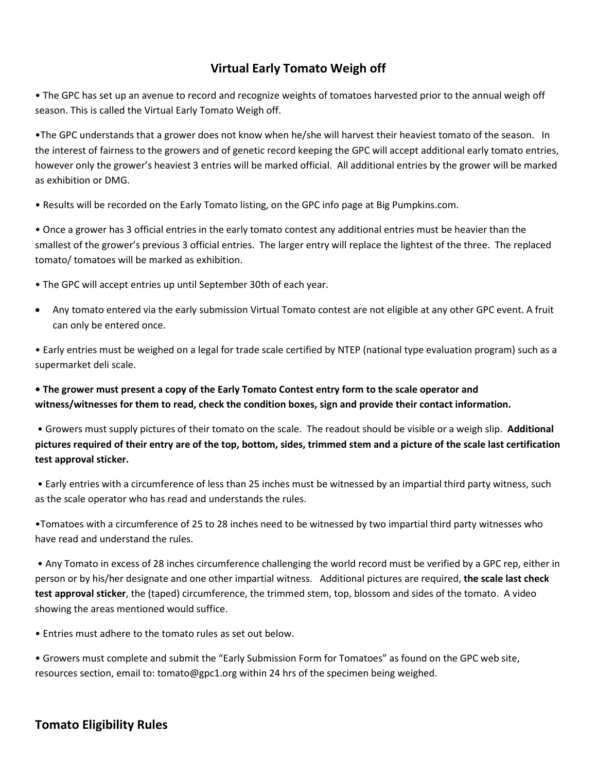## **Virtual Early Tomato Weigh off**

• The GPC has set up an avenue to record and recognize weights of tomatoes harvested prior to the annual weigh off season. This is called the Virtual Early Tomato Weigh off.

•The GPC understands that a grower does not know when he/she will harvest their heaviest tomato of the season. In the interest of fairness to the growers and of genetic record keeping the GPC will accept additional early tomato entries, however only the grower's heaviest 3 entries will be marked official. All additional entries by the grower will be marked as exhibition or DMG.

• Results will be recorded on the Early Tomato listing, on the GPC info page at Big Pumpkins.com.

• Once a grower has 3 official entries in the early tomato contest any additional entries must be heavier than the smallest of the grower's previous 3 official entries. The larger entry will replace the lightest of the three. The replaced tomato/ tomatoes will be marked as exhibition.

• The GPC will accept entries up until September 30th of each year.

• Any tomato entered via the early submission Virtual Tomato contest are not eligible at any other GPC event. A fruit can only be entered once.

• Early entries must be weighed on a legal for trade scale certified by NTEP (national type evaluation program) such as a supermarket deli scale.

**• The grower must present a copy of the Early Tomato Contest entry form to the scale operator and witness/witnesses for them to read, check the condition boxes, sign and provide their contact information.** 

• Growers must supply pictures of their tomato on the scale. The readout should be visible or a weigh slip. **Additional pictures required of their entry are of the top, bottom, sides, trimmed stem and a picture of the scale last certification test approval sticker.**

• Early entries with a circumference of less than 25 inches must be witnessed by an impartial third party witness, such as the scale operator who has read and understands the rules.

•Tomatoes with a circumference of 25 to 28 inches need to be witnessed by two impartial third party witnesses who have read and understand the rules.

• Any Tomato in excess of 28 inches circumference challenging the world record must be verified by a GPC rep, either in person or by his/her designate and one other impartial witness. Additional pictures are required, **the scale last check test approval sticker**, the (taped) circumference, the trimmed stem, top, blossom and sides of the tomato. A video showing the areas mentioned would suffice.

• Entries must adhere to the tomato rules as set out below.

• Growers must complete and submit the "Early Submission Form for Tomatoes" as found on the GPC web site, resources section, email to: tomato@gpc1.org within 24 hrs of the specimen being weighed.

## **Tomato Eligibility Rules**